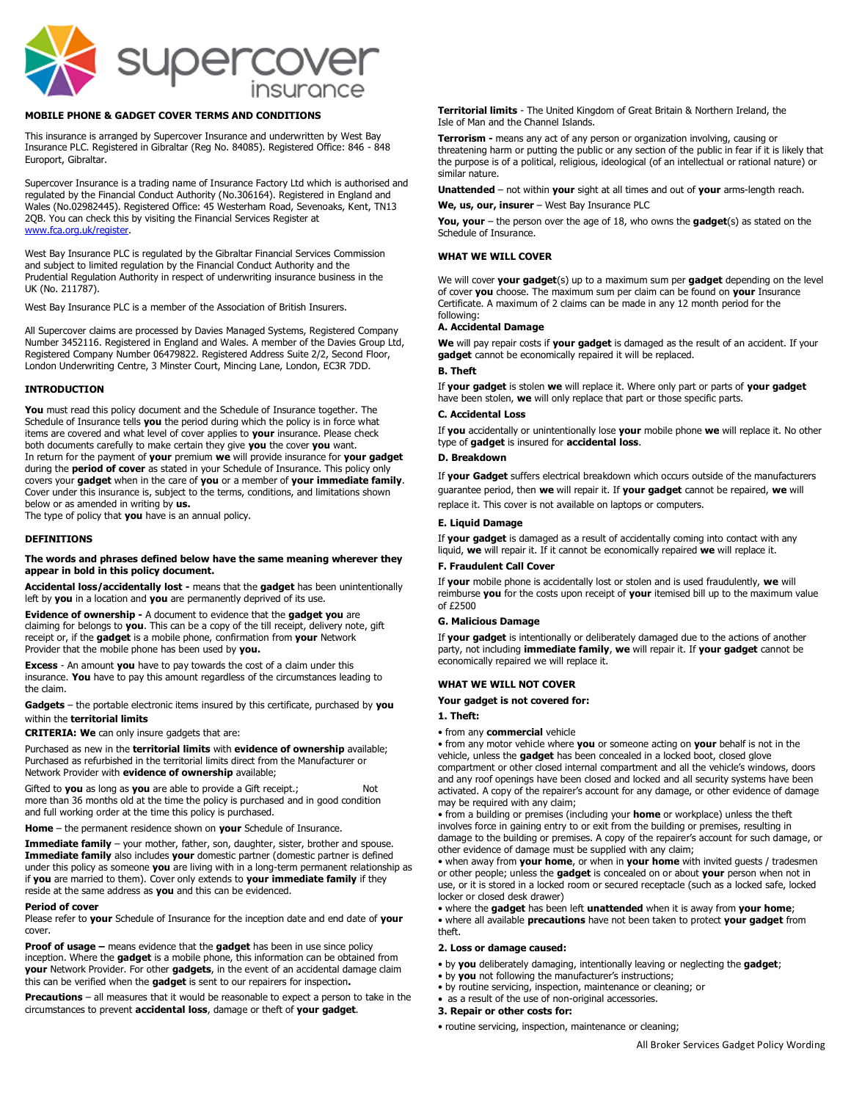

# **MOBILE PHONE & GADGET COVER TERMS AND CONDITIONS**

This insurance is arranged by Supercover Insurance and underwritten by West Bay Insurance PLC. Registered in Gibraltar (Reg No. 84085). Registered Office: 846 - 848 Europort, Gibraltar.

Supercover Insurance is a trading name of Insurance Factory Ltd which is authorised and regulated by the Financial Conduct Authority (No.306164). Registered in England and Wales (No.02982445). Registered Office: 45 Westerham Road, Sevenoaks, Kent, TN13 2QB. You can check this by visiting the Financial Services Register at [www.fca.org.uk/register.](http://www.fca.org.uk/register)

West Bay Insurance PLC is regulated by the Gibraltar Financial Services Commission and subject to limited regulation by the Financial Conduct Authority and the Prudential Regulation Authority in respect of underwriting insurance business in the UK (No. 211787).

West Bay Insurance PLC is a member of the Association of British Insurers.

All Supercover claims are processed by Davies Managed Systems, Registered Company Number 3452116. Registered in England and Wales. A member of the Davies Group Ltd, Registered Company Number 06479822. Registered Address Suite 2/2, Second Floor, London Underwriting Centre, 3 Minster Court, Mincing Lane, London, EC3R 7DD.

# **INTRODUCTION**

**You** must read this policy document and the Schedule of Insurance together. The Schedule of Insurance tells **you** the period during which the policy is in force what items are covered and what level of cover applies to **your** insurance. Please check both documents carefully to make certain they give **you** the cover **you** want. In return for the payment of **your** premium **we** will provide insurance for **your gadget** during the **period of cover** as stated in your Schedule of Insurance. This policy only covers your **gadget** when in the care of **you** or a member of **your immediate family**. Cover under this insurance is, subject to the terms, conditions, and limitations shown below or as amended in writing by **us.**

The type of policy that **you** have is an annual policy.

#### **DEFINITIONS**

#### **The words and phrases defined below have the same meaning wherever they appear in bold in this policy document.**

**Accidental loss/accidentally lost -** means that the **gadget** has been unintentionally left by **you** in a location and **you** are permanently deprived of its use.

**Evidence of ownership -** A document to evidence that the **gadget you** are claiming for belongs to **you**. This can be a copy of the till receipt, delivery note, gift receipt or, if the **gadget** is a mobile phone, confirmation from **your** Network Provider that the mobile phone has been used by **you.**

**Excess** - An amount **you** have to pay towards the cost of a claim under this insurance. **You** have to pay this amount regardless of the circumstances leading to the claim.

**Gadgets** – the portable electronic items insured by this certificate, purchased by **you** within the **territorial limits**

**CRITERIA: We** can only insure gadgets that are:

Purchased as new in the **territorial limits** with **evidence of ownership** available; Purchased as refurbished in the territorial limits direct from the Manufacturer or Network Provider with **evidence of ownership** available;

Gifted to you as long as you are able to provide a Gift receipt.; more than 36 months old at the time the policy is purchased and in good condition and full working order at the time this policy is purchased.

**Home** – the permanent residence shown on **your** Schedule of Insurance.

**Immediate family** – your mother, father, son, daughter, sister, brother and spouse. **Immediate family** also includes **your** domestic partner (domestic partner is defined under this policy as someone **you** are living with in a long-term permanent relationship as if **you** are married to them). Cover only extends to **your immediate family** if they reside at the same address as **you** and this can be evidenced.

#### **Period of cover**

Please refer to **your** Schedule of Insurance for the inception date and end date of **your** cover.

**Proof of usage –** means evidence that the **gadget** has been in use since policy inception. Where the **gadget** is a mobile phone, this information can be obtained from **your** Network Provider. For other **gadgets**, in the event of an accidental damage claim this can be verified when the **gadget** is sent to our repairers for inspection**.**

**Precautions** – all measures that it would be reasonable to expect a person to take in the circumstances to prevent **accidental loss**, damage or theft of **your gadget**.

**Territorial limits** - The United Kingdom of Great Britain & Northern Ireland, the Isle of Man and the Channel Islands.

**Terrorism -** means any act of any person or organization involving, causing or threatening harm or putting the public or any section of the public in fear if it is likely that the purpose is of a political, religious, ideological (of an intellectual or rational nature) or similar nature.

**Unattended** – not within **your** sight at all times and out of **your** arms-length reach. **We, us, our, insurer** – West Bay Insurance PLC

**You, your** – the person over the age of 18, who owns the **gadget**(s) as stated on the Schedule of Insurance.

# **WHAT WE WILL COVER**

We will cover **your gadget**(s) up to a maximum sum per **gadget** depending on the level of cover **you** choose. The maximum sum per claim can be found on **your** Insurance Certificate. A maximum of 2 claims can be made in any 12 month period for the following:

# **A. Accidental Damage**

**We** will pay repair costs if **your gadget** is damaged as the result of an accident. If your **gadget** cannot be economically repaired it will be replaced.

#### **B. Theft**

If **your gadget** is stolen **we** will replace it. Where only part or parts of **your gadget** have been stolen, **we** will only replace that part or those specific parts.

## **C. Accidental Loss**

If **you** accidentally or unintentionally lose **your** mobile phone **we** will replace it. No other type of **gadget** is insured for **accidental loss**.

# **D. Breakdown**

If **your Gadget** suffers electrical breakdown which occurs outside of the manufacturers guarantee period, then **we** will repair it. If **your gadget** cannot be repaired, **we** will replace it. This cover is not available on laptops or computers.

#### **E. Liquid Damage**

If **your gadget** is damaged as a result of accidentally coming into contact with any liquid, **we** will repair it. If it cannot be economically repaired **we** will replace it.

# **F. Fraudulent Call Cover**

If **your** mobile phone is accidentally lost or stolen and is used fraudulently, **we** will reimburse **you** for the costs upon receipt of **your** itemised bill up to the maximum value of £2500

#### **G. Malicious Damage**

If **your gadget** is intentionally or deliberately damaged due to the actions of another party, not including **immediate family**, **we** will repair it. If **your gadget** cannot be economically repaired we will replace it.

#### **WHAT WE WILL NOT COVER**

### **Your gadget is not covered for:**

# **1. Theft:**

• from any **commercial** vehicle

• from any motor vehicle where **you** or someone acting on **your** behalf is not in the vehicle, unless the **gadget** has been concealed in a locked boot, closed glove compartment or other closed internal compartment and all the vehicle's windows, doors and any roof openings have been closed and locked and all security systems have been activated. A copy of the repairer's account for any damage, or other evidence of damage

may be required with any claim; • from a building or premises (including your **home** or workplace) unless the theft involves force in gaining entry to or exit from the building or premises, resulting in damage to the building or premises. A copy of the repairer's account for such damage, or other evidence of damage must be supplied with any claim;

• when away from **your home**, or when in **your home** with invited guests / tradesmen or other people; unless the **gadget** is concealed on or about **your** person when not in use, or it is stored in a locked room or secured receptacle (such as a locked safe, locked locker or closed desk drawer)

• where the **gadget** has been left **unattended** when it is away from **your home**; • where all available **precautions** have not been taken to protect **your gadget** from theft.

#### **2. Loss or damage caused:**

- by **you** deliberately damaging, intentionally leaving or neglecting the **gadget**;
	- by **you** not following the manufacturer's instructions;
- by routine servicing, inspection, maintenance or cleaning; or
- as a result of the use of non-original accessories.

#### **3. Repair or other costs for:**

• routine servicing, inspection, maintenance or cleaning;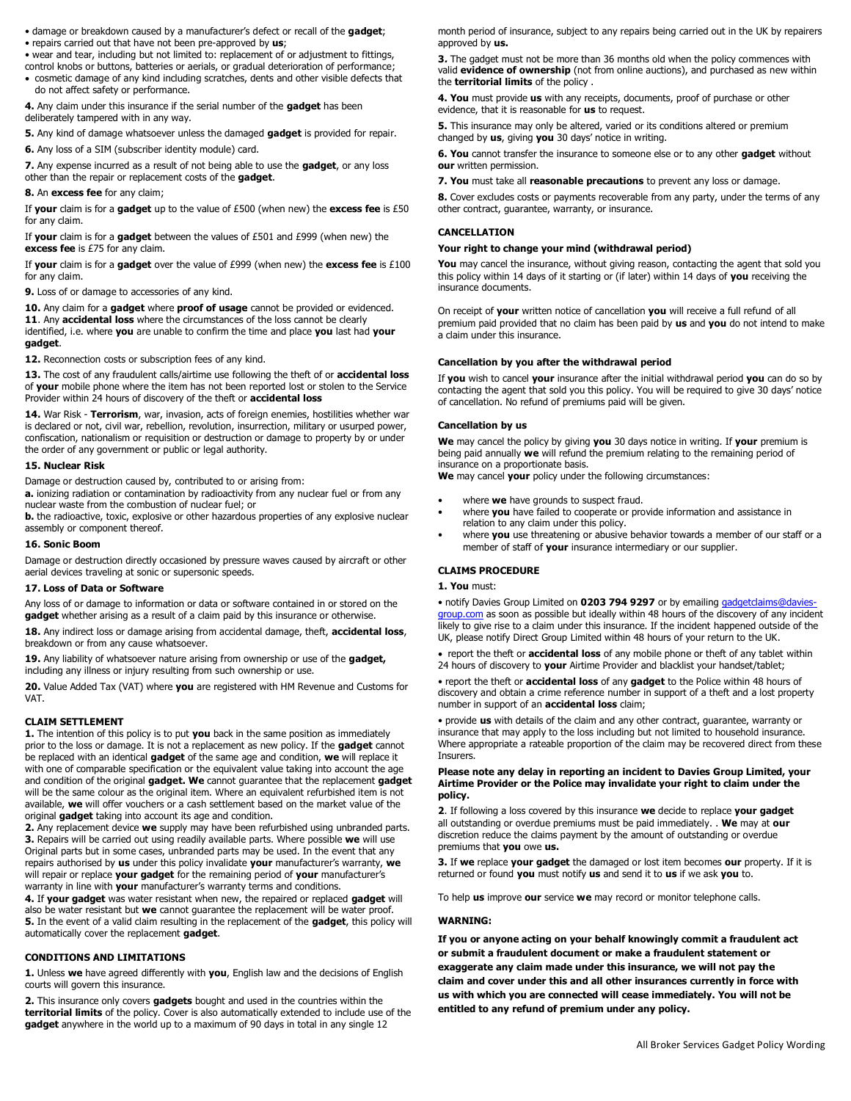- damage or breakdown caused by a manufacturer's defect or recall of the **gadget**;
- repairs carried out that have not been pre-approved by **us**;
- wear and tear, including but not limited to: replacement of or adjustment to fittings,
- control knobs or buttons, batteries or aerials, or gradual deterioration of performance; • cosmetic damage of any kind including scratches, dents and other visible defects that do not affect safety or performance.

**4.** Any claim under this insurance if the serial number of the **gadget** has been deliberately tampered with in any way.

**5.** Any kind of damage whatsoever unless the damaged **gadget** is provided for repair.

**6.** Any loss of a SIM (subscriber identity module) card.

**7.** Any expense incurred as a result of not being able to use the **gadget**, or any loss other than the repair or replacement costs of the **gadget**.

# **8.** An **excess fee** for any claim;

If **your** claim is for a **gadget** up to the value of £500 (when new) the **excess fee** is £50 for any claim.

If **your** claim is for a **gadget** between the values of £501 and £999 (when new) the **excess fee** is £75 for any claim.

If **your** claim is for a **gadget** over the value of £999 (when new) the **excess fee** is £100 for any claim.

**9.** Loss of or damage to accessories of any kind.

**10.** Any claim for a **gadget** where **proof of usage** cannot be provided or evidenced. **11**. Any **accidental loss** where the circumstances of the loss cannot be clearly identified, i.e. where **you** are unable to confirm the time and place **you** last had **your gadget**.

**12.** Reconnection costs or subscription fees of any kind.

**13.** The cost of any fraudulent calls/airtime use following the theft of or **accidental loss**  of **your** mobile phone where the item has not been reported lost or stolen to the Service Provider within 24 hours of discovery of the theft or **accidental loss**

**14.** War Risk - **Terrorism**, war, invasion, acts of foreign enemies, hostilities whether war is declared or not, civil war, rebellion, revolution, insurrection, military or usurped power, confiscation, nationalism or requisition or destruction or damage to property by or under the order of any government or public or legal authority.

#### **15. Nuclear Risk**

Damage or destruction caused by, contributed to or arising from:

**a.** ionizing radiation or contamination by radioactivity from any nuclear fuel or from any nuclear waste from the combustion of nuclear fuel; or

**b.** the radioactive, toxic, explosive or other hazardous properties of any explosive nuclear assembly or component thereof.

### **16. Sonic Boom**

Damage or destruction directly occasioned by pressure waves caused by aircraft or other aerial devices traveling at sonic or supersonic speeds.

# **17. Loss of Data or Software**

Any loss of or damage to information or data or software contained in or stored on the **gadget** whether arising as a result of a claim paid by this insurance or otherwise.

**18.** Any indirect loss or damage arising from accidental damage, theft, **accidental loss**, breakdown or from any cause whatsoever.

**19.** Any liability of whatsoever nature arising from ownership or use of the **gadget,** including any illness or injury resulting from such ownership or use.

**20.** Value Added Tax (VAT) where **you** are registered with HM Revenue and Customs for VAT.

#### **CLAIM SETTLEMENT**

**1.** The intention of this policy is to put **you** back in the same position as immediately prior to the loss or damage. It is not a replacement as new policy. If the **gadget** cannot be replaced with an identical **gadget** of the same age and condition, **we** will replace it with one of comparable specification or the equivalent value taking into account the age and condition of the original **gadget. We** cannot guarantee that the replacement **gadget**  will be the same colour as the original item. Where an equivalent refurbished item is not available, **we** will offer vouchers or a cash settlement based on the market value of the original **gadget** taking into account its age and condition.

**2.** Any replacement device **we** supply may have been refurbished using unbranded parts. **3.** Repairs will be carried out using readily available parts. Where possible **we** will use Original parts but in some cases, unbranded parts may be used. In the event that any repairs authorised by **us** under this policy invalidate **your** manufacturer's warranty, **we** will repair or replace **your gadget** for the remaining period of **your** manufacturer's warranty in line with **your** manufacturer's warranty terms and conditions.

**4.** If **your gadget** was water resistant when new, the repaired or replaced **gadget** will also be water resistant but **we** cannot guarantee the replacement will be water proof. **5.** In the event of a valid claim resulting in the replacement of the **gadget**, this policy will automatically cover the replacement **gadget**.

# **CONDITIONS AND LIMITATIONS**

**1.** Unless **we** have agreed differently with **you**, English law and the decisions of English courts will govern this insurance.

**2.** This insurance only covers **gadgets** bought and used in the countries within the **territorial limits** of the policy. Cover is also automatically extended to include use of the **gadget** anywhere in the world up to a maximum of 90 days in total in any single 12

month period of insurance, subject to any repairs being carried out in the UK by repairers approved by **us.**

**3.** The gadget must not be more than 36 months old when the policy commences with valid **evidence of ownership** (not from online auctions), and purchased as new within the **territorial limits** of the policy .

**4. You** must provide **us** with any receipts, documents, proof of purchase or other evidence, that it is reasonable for **us** to request.

**5.** This insurance may only be altered, varied or its conditions altered or premium changed by **us**, giving **you** 30 days' notice in writing.

**6. You** cannot transfer the insurance to someone else or to any other **gadget** without **our** written permission.

**7. You** must take all **reasonable precautions** to prevent any loss or damage.

**8.** Cover excludes costs or payments recoverable from any party, under the terms of any other contract, guarantee, warranty, or insurance.

# **CANCELLATION**

### **Your right to change your mind (withdrawal period)**

You may cancel the insurance, without giving reason, contacting the agent that sold you this policy within 14 days of it starting or (if later) within 14 days of **you** receiving the insurance documents.

On receipt of **your** written notice of cancellation **you** will receive a full refund of all premium paid provided that no claim has been paid by **us** and **you** do not intend to make a claim under this insurance.

### **Cancellation by you after the withdrawal period**

If **you** wish to cancel **your** insurance after the initial withdrawal period **you** can do so by contacting the agent that sold you this policy. You will be required to give 30 days' notice of cancellation. No refund of premiums paid will be given.

### **Cancellation by us**

**We** may cancel the policy by giving **you** 30 days notice in writing. If **your** premium is being paid annually **we** will refund the premium relating to the remaining period of insurance on a proportionate basis.

**We** may cancel **your** policy under the following circumstances:

- where **we** have grounds to suspect fraud.
- where **you** have failed to cooperate or provide information and assistance in relation to any claim under this policy.
- where **you** use threatening or abusive behavior towards a member of our staff or a member of staff of **your** insurance intermediary or our supplier.

## **CLAIMS PROCEDURE**

#### **1. You** must:

• notify Davies Group Limited on **0203 794 9297** or by emailing gadgetclaims@davie [group.com](mailto:gadgetclaims@davies-group.com) as soon as possible but ideally within 48 hours of the discovery of any incident likely to give rise to a claim under this insurance. If the incident happened outside of the UK, please notify Direct Group Limited within 48 hours of your return to the UK.

• report the theft or **accidental loss** of any mobile phone or theft of any tablet within 24 hours of discovery to **your** Airtime Provider and blacklist your handset/tablet;

• report the theft or **accidental loss** of any **gadget** to the Police within 48 hours of discovery and obtain a crime reference number in support of a theft and a lost property number in support of an **accidental loss** claim;

• provide **us** with details of the claim and any other contract, guarantee, warranty or insurance that may apply to the loss including but not limited to household insurance. Where appropriate a rateable proportion of the claim may be recovered direct from these Insurers.

#### **Please note any delay in reporting an incident to Davies Group Limited, your Airtime Provider or the Police may invalidate your right to claim under the policy.**

**2**. If following a loss covered by this insurance **we** decide to replace **your gadget** all outstanding or overdue premiums must be paid immediately. . **We** may at **our** discretion reduce the claims payment by the amount of outstanding or overdue premiums that **you** owe **us.**

**3.** If **we** replace **your gadget** the damaged or lost item becomes **our** property. If it is returned or found **you** must notify **us** and send it to **us** if we ask **you** to.

To help **us** improve **our** service **we** may record or monitor telephone calls.

## **WARNING:**

**If you or anyone acting on your behalf knowingly commit a fraudulent act or submit a fraudulent document or make a fraudulent statement or exaggerate any claim made under this insurance, we will not pay the claim and cover under this and all other insurances currently in force with us with which you are connected will cease immediately. You will not be entitled to any refund of premium under any policy.**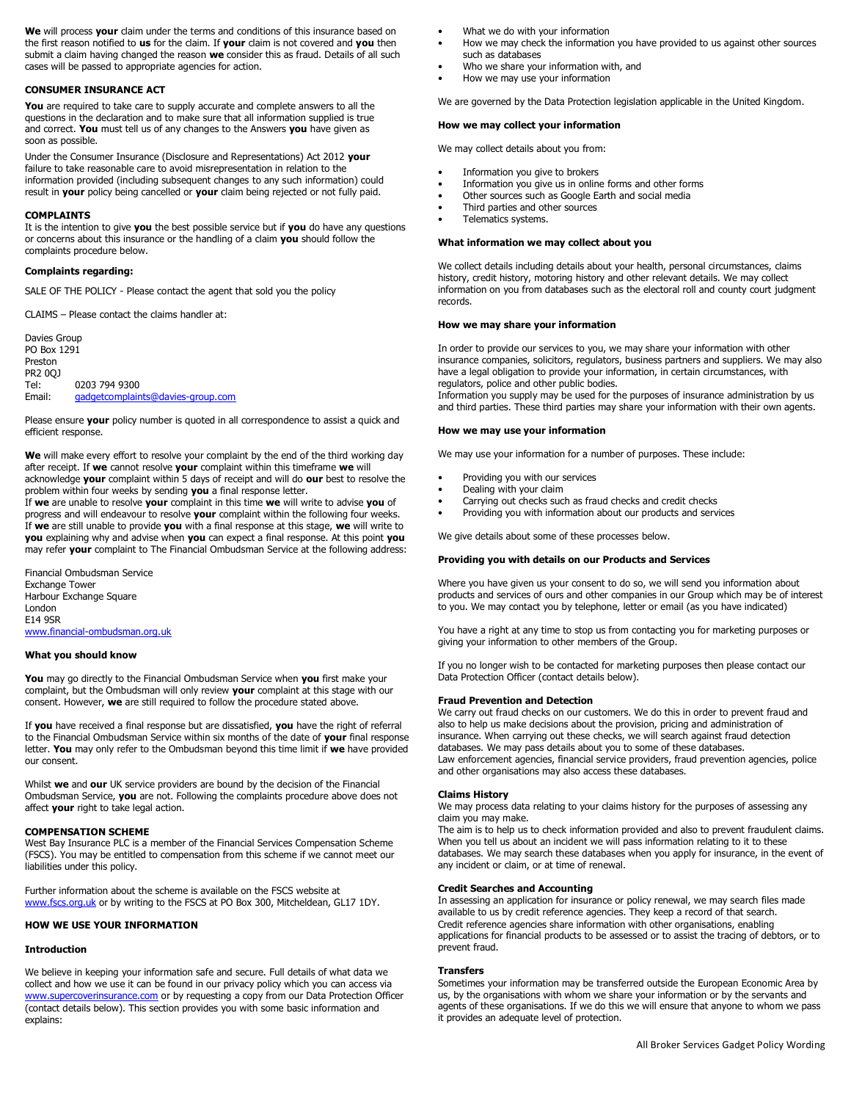**We** will process **your** claim under the terms and conditions of this insurance based on the first reason notified to **us** for the claim. If **your** claim is not covered and **you** then submit a claim having changed the reason **we** consider this as fraud. Details of all such cases will be passed to appropriate agencies for action.

# **CONSUMER INSURANCE ACT**

You are required to take care to supply accurate and complete answers to all the questions in the declaration and to make sure that all information supplied is true and correct. **You** must tell us of any changes to the Answers **you** have given as soon as possible.

Under the Consumer Insurance (Disclosure and Representations) Act 2012 **your** failure to take reasonable care to avoid misrepresentation in relation to the information provided (including subsequent changes to any such information) could result in **your** policy being cancelled or **your** claim being rejected or not fully paid.

#### **COMPLAINTS**

It is the intention to give **you** the best possible service but if **you** do have any questions or concerns about this insurance or the handling of a claim **you** should follow the complaints procedure below.

# **Complaints regarding:**

SALE OF THE POLICY - Please contact the agent that sold you the policy

CLAIMS – Please contact the claims handler at:

Davies Group PO Box 1291 Preston PR2 0QJ Tel: 0203 794 9300<br>Email: <u>gadgetcomplair</u> [gadgetcomplaints@davies-group.com](mailto:gadgetcomplaints@davies-group.com)

Please ensure **your** policy number is quoted in all correspondence to assist a quick and efficient response.

**We** will make every effort to resolve your complaint by the end of the third working day after receipt. If **we** cannot resolve **your** complaint within this timeframe **we** will acknowledge **your** complaint within 5 days of receipt and will do **our** best to resolve the problem within four weeks by sending **you** a final response letter.

If **we** are unable to resolve **your** complaint in this time **we** will write to advise **you** of progress and will endeavour to resolve **your** complaint within the following four weeks. If **we** are still unable to provide **you** with a final response at this stage, **we** will write to **you** explaining why and advise when **you** can expect a final response. At this point **you** may refer **your** complaint to The Financial Ombudsman Service at the following address:

Financial Ombudsman Service Exchange Tower Harbour Exchange Square London E14 9SR [www.financial-ombudsman.org.uk](http://www.financial-ombudsman.org.uk/)

#### **What you should know**

**You** may go directly to the Financial Ombudsman Service when **you** first make your complaint, but the Ombudsman will only review **your** complaint at this stage with our consent. However, **we** are still required to follow the procedure stated above.

If **you** have received a final response but are dissatisfied, **you** have the right of referral to the Financial Ombudsman Service within six months of the date of **your** final response letter. **You** may only refer to the Ombudsman beyond this time limit if **we** have provided our consent.

Whilst **we** and **our** UK service providers are bound by the decision of the Financial Ombudsman Service, **you** are not. Following the complaints procedure above does not affect **your** right to take legal action.

#### **COMPENSATION SCHEME**

West Bay Insurance PLC is a member of the Financial Services Compensation Scheme (FSCS). You may be entitled to compensation from this scheme if we cannot meet our liabilities under this policy.

Further information about the scheme is available on the FSCS website at [www.fscs.org.uk](http://www.fscs.org.uk/) or by writing to the FSCS at PO Box 300, Mitcheldean, GL17 1DY.

### **HOW WE USE YOUR INFORMATION**

# **Introduction**

We believe in keeping your information safe and secure. Full details of what data we collect and how we use it can be found in our privacy policy which you can access via [www.supercoverinsurance.com](http://www.supercoverinsurance.com/)</u> or by requesting a copy from our Data Protection Officer (contact details below). This section provides you with some basic information and explains:

- What we do with your information
- How we may check the information you have provided to us against other sources such as databases
- Who we share your information with, and
- How we may use your information

We are governed by the Data Protection legislation applicable in the United Kingdom.

### **How we may collect your information**

We may collect details about you from:

- Information you give to brokers
- Information you give us in online forms and other forms
- Other sources such as Google Earth and social media
- Third parties and other sources
- Telematics systems.

# **What information we may collect about you**

We collect details including details about your health, personal circumstances, claims history, credit history, motoring history and other relevant details. We may collect information on you from databases such as the electoral roll and county court judgment records.

#### **How we may share your information**

In order to provide our services to you, we may share your information with other insurance companies, solicitors, regulators, business partners and suppliers. We may also have a legal obligation to provide your information, in certain circumstances, with regulators, police and other public bodies.

Information you supply may be used for the purposes of insurance administration by us and third parties. These third parties may share your information with their own agents.

#### **How we may use your information**

We may use your information for a number of purposes. These include:

- Providing you with our services
- Dealing with your claim
- Carrying out checks such as fraud checks and credit checks
- Providing you with information about our products and services

We give details about some of these processes below.

#### **Providing you with details on our Products and Services**

Where you have given us your consent to do so, we will send you information about products and services of ours and other companies in our Group which may be of interest to you. We may contact you by telephone, letter or email (as you have indicated)

You have a right at any time to stop us from contacting you for marketing purposes or giving your information to other members of the Group.

If you no longer wish to be contacted for marketing purposes then please contact our Data Protection Officer (contact details below).

### **Fraud Prevention and Detection**

We carry out fraud checks on our customers. We do this in order to prevent fraud and also to help us make decisions about the provision, pricing and administration of insurance. When carrying out these checks, we will search against fraud detection databases. We may pass details about you to some of these databases. Law enforcement agencies, financial service providers, fraud prevention agencies, police and other organisations may also access these databases.

#### **Claims History**

We may process data relating to your claims history for the purposes of assessing any claim you may make.

The aim is to help us to check information provided and also to prevent fraudulent claims. When you tell us about an incident we will pass information relating to it to these databases. We may search these databases when you apply for insurance, in the event of any incident or claim, or at time of renewal.

### **Credit Searches and Accounting**

In assessing an application for insurance or policy renewal, we may search files made available to us by credit reference agencies. They keep a record of that search. Credit reference agencies share information with other organisations, enabling applications for financial products to be assessed or to assist the tracing of debtors, or to prevent fraud.

### **Transfers**

Sometimes your information may be transferred outside the European Economic Area by us, by the organisations with whom we share your information or by the servants and agents of these organisations. If we do this we will ensure that anyone to whom we pass it provides an adequate level of protection.